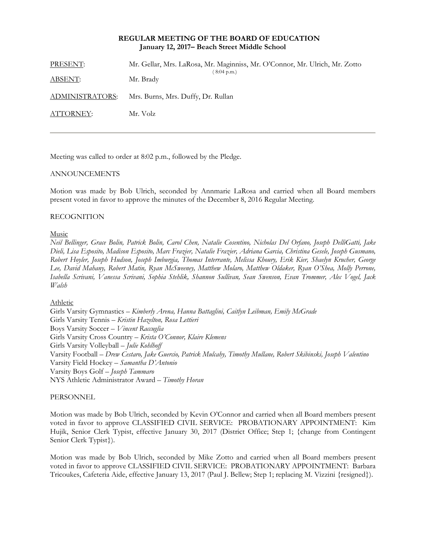## **REGULAR MEETING OF THE BOARD OF EDUCATION January 12, 2017– Beach Street Middle School**

| PRESENT:        | Mr. Gellar, Mrs. LaRosa, Mr. Maginniss, Mr. O'Connor, Mr. Ulrich, Mr. Zotto<br>$(8:04 \text{ p.m.})$ |
|-----------------|------------------------------------------------------------------------------------------------------|
| <u>ABSENT:</u>  | Mr. Brady                                                                                            |
| ADMINISTRATORS: | Mrs. Burns, Mrs. Duffy, Dr. Rullan                                                                   |
| ATTORNEY:       | Mr. Volz                                                                                             |
|                 |                                                                                                      |

Meeting was called to order at 8:02 p.m., followed by the Pledge.

# ANNOUNCEMENTS

Motion was made by Bob Ulrich, seconded by Annmarie LaRosa and carried when all Board members present voted in favor to approve the minutes of the December 8, 2016 Regular Meeting.

## RECOGNITION

## Music

*Neil Bellinger, Grace Bolin, Patrick Bolin, Carol Chen, Natalie Cosentino, Nicholas Del Orfano, Joseph DelliGatti, Jake Dieli, Lisa Esposito, Madison Esposito, Marc Frazier, Natalie Frazier, Adriana Garcia, Christina Gesele, Joseph Gusmano, Robert Hoyler, Joseph Hudson, Joseph Imburgia, Thomas Interrante, Melissa Khoury, Erik Kier, Shaelyn Krucher, George Lee, David Mahany, Robert Matin, Ryan McSweeney, Matthew Molaro, Matthew Oldaker, Ryan O'Shea, Molly Perrone, Isabella Scrivani, Vanessa Scrivani, Sophia Stehlik, Shannon Sullivan, Sean Swenson, Evan Trommer, Alec Vogel, Jack Walsh* 

## Athletic

Girls Varsity Gymnastics – *Kimberly Arena, Hanna Battaglini, Caitlyn Leibman, Emily McGrade*  Girls Varsity Tennis – *Kristin Hazelton, Rosa Lettieri* Boys Varsity Soccer – *Vincent Raccuglia* Girls Varsity Cross Country – *Krista O'Connor, Klaire Klemens* Girls Varsity Volleyball – *Julie Kohlhoff* Varsity Football – *Drew Cestaro, Jake Guercio, Patrick Mulcahy, Timothy Mullane, Robert Skibinski, Joseph Valentino*  Varsity Field Hockey – *Samantha D'Antonio* Varsity Boys Golf – *Joseph Tammaro* NYS Athletic Administrator Award – *Timothy Horan*

## PERSONNEL

Motion was made by Bob Ulrich, seconded by Kevin O'Connor and carried when all Board members present voted in favor to approve CLASSIFIED CIVIL SERVICE: PROBATIONARY APPOINTMENT: Kim Hujik, Senior Clerk Typist, effective January 30, 2017 (District Office; Step 1; {change from Contingent Senior Clerk Typist}).

Motion was made by Bob Ulrich, seconded by Mike Zotto and carried when all Board members present voted in favor to approve CLASSIFIED CIVIL SERVICE: PROBATIONARY APPOINTMENT: Barbara Tricoukes, Cafeteria Aide, effective January 13, 2017 (Paul J. Bellew; Step 1; replacing M. Vizzini {resigned}).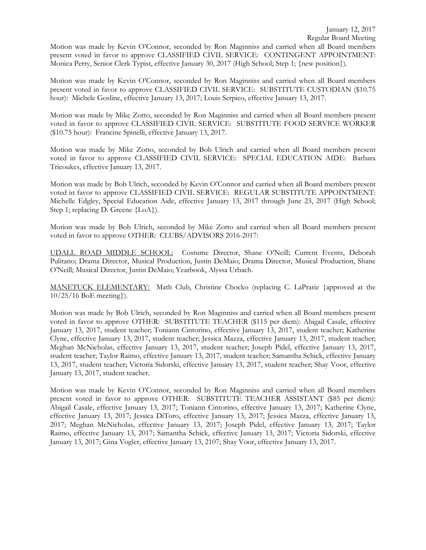Motion was made by Kevin O'Connor, seconded by Ron Maginniss and carried when all Board members present voted in favor to approve CLASSIFIED CIVIL SERVICE: CONTINGENT APPOINTMENT: Monica Perry, Senior Clerk Typist, effective January 30, 2017 (High School; Step 1; {new position}).

Motion was made by Kevin O'Connor, seconded by Ron Maginniss and carried when all Board members present voted in favor to approve CLASSIFIED CIVIL SERVICE: SUBSTITUTE CUSTODIAN (\$10.75 hour): Michele Gosline, effective January 13, 2017; Louis Serpico, effective January 13, 2017.

Motion was made by Mike Zotto, seconded by Ron Maginniss and carried when all Board members present voted in favor to approve CLASSIFIED CIVIL SERVICE: SUBSTITUTE FOOD SERVICE WORKER (\$10.75 hour): Francine Spinelli, effective January 13, 2017.

Motion was made by Mike Zotto, seconded by Bob Ulrich and carried when all Board members present voted in favor to approve CLASSIFIED CIVIL SERVICE: SPECIAL EDUCATION AIDE: Barbara Tricoukes, effective January 13, 2017.

Motion was made by Bob Ulrich, seconded by Kevin O'Connor and carried when all Board members present voted in favor to approve CLASSIFIED CIVIL SERVICE: REGULAR SUBSTITUTE APPOINTMENT: Michelle Edgley, Special Education Aide, effective January 13, 2017 through June 23, 2017 (High School; Step 1; replacing D. Greene {LoA}).

Motion was made by Bob Ulrich, seconded by Mike Zotto and carried when all Board members present voted in favor to approve OTHER: CLUBS/ADVISORS 2016-2017:

UDALL ROAD MIDDLE SCHOOL: Costume Director, Shane O'Neill; Current Events, Deborah Pulitano; Drama Director, Musical Production, Justin DeMaio; Drama Director, Musical Production, Shane O'Neill; Musical Director, Justin DeMaio; Yearbook, Alyssa Urbach.

MANETUCK ELEMENTARY: Math Club, Christine Chocko (replacing C. LaPrarie {approved at the 10/25/16 BoE meeting}).

Motion was made by Bob Ulrich, seconded by Ron Maginniss and carried when all Board members present voted in favor to approve OTHER: SUBSTITUTE TEACHER (\$115 per diem): Abigail Casale, effective January 13, 2017, student teacher; Toniann Cintorino, effective January 13, 2017, student teacher; Katherine Clyne, effective January 13, 2017, student teacher; Jessica Mazza, effective January 13, 2017, student teacher; Meghan McNicholas, effective January 13, 2017, student teacher; Joseph Pidel, effective January 13, 2017, student teacher; Taylor Raimo, effective January 13, 2017, student teacher; Samantha Schick, effective January 13, 2017, student teacher; Victoria Sidorski, effective January 13, 2017, student teacher; Shay Voor, effective January 13, 2017, student teacher.

Motion was made by Kevin O'Connor, seconded by Ron Maginniss and carried when all Board members present voted in favor to approve OTHER: SUBSTITUTE TEACHER ASSISTANT (\$85 per diem): Abigail Casale, effective January 13, 2017; Toniann Cintorino, effective January 13, 2017; Katherine Clyne, effective January 13, 2017; Jessica DiToro, effective January 13, 2017; Jessica Mazza, effective January 13, 2017; Meghan McNicholas, effective January 13, 2017; Joseph Pidel, effective January 13, 2017; Taylor Raimo, effective January 13, 2017; Samantha Schick, effective January 13, 2017; Victoria Sidorski, effective January 13, 2017; Gina Vogler, effective January 13, 2107; Shay Voor, effective January 13, 2017.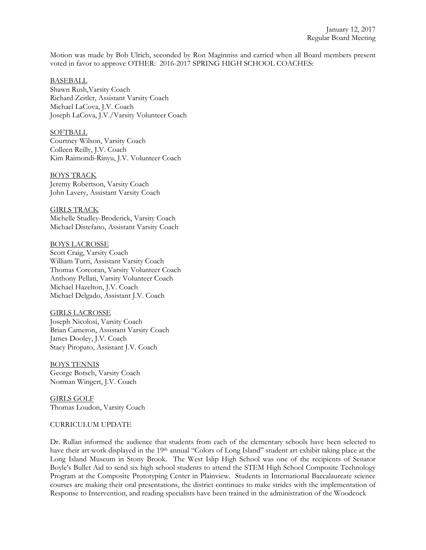Motion was made by Bob Ulrich, seconded by Ron Maginniss and carried when all Board members present voted in favor to approve OTHER: 2016-2017 SPRING HIGH SCHOOL COACHES:

### BASEBALL

Shawn Rush,Varsity Coach Richard Zeitler, Assistant Varsity Coach Michael LaCova, J.V. Coach Joseph LaCova, J.V./Varsity Volunteer Coach

**SOFTBALL** Courtney Wilson, Varsity Coach Colleen Reilly, J.V. Coach Kim Raimondi-Rinyu, J.V. Volunteer Coach

BOYS TRACK Jeremy Robertson, Varsity Coach John Lavery, Assistant Varsity Coach

GIRLS TRACK Michelle Studley-Broderick, Varsity Coach Michael Distefano, Assistant Varsity Coach

BOYS LACROSSE Scott Craig, Varsity Coach William Turri, Assistant Varsity Coach Thomas Corcoran, Varsity Volunteer Coach Anthony Pellati, Varsity Volunteer Coach Michael Hazelton, J.V. Coach Michael Delgado, Assistant J.V. Coach

GIRLS LACROSSE Joseph Nicolosi, Varsity Coach Brian Cameron, Assistant Varsity Coach James Dooley, J.V. Coach Stacy Piropato, Assistant J.V. Coach

BOYS TENNIS George Botsch, Varsity Coach Norman Wingert, J.V. Coach

GIRLS GOLF Thomas Loudon, Varsity Coach

#### CURRICULUM UPDATE

Dr. Rullan informed the audience that students from each of the elementary schools have been selected to have their art work displayed in the 19th annual "Colors of Long Island" student art exhibit taking place at the Long Island Museum in Stony Brook. The West Islip High School was one of the recipients of Senator Boyle's Bullet Aid to send six high school students to attend the STEM High School Composite Technology Program at the Composite Prototyping Center in Plainview. Students in International Baccalaureate science courses are making their oral presentations, the district continues to make strides with the implementation of Response to Intervention, and reading specialists have been trained in the administration of the Woodcock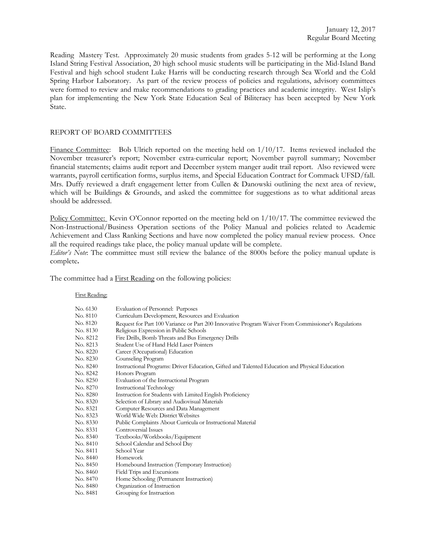Reading Mastery Test. Approximately 20 music students from grades 5-12 will be performing at the Long Island String Festival Association, 20 high school music students will be participating in the Mid-Island Band Festival and high school student Luke Harris will be conducting research through Sea World and the Cold Spring Harbor Laboratory. As part of the review process of policies and regulations, advisory committees were formed to review and make recommendations to grading practices and academic integrity. West Islip's plan for implementing the New York State Education Seal of Biliteracy has been accepted by New York State.

# REPORT OF BOARD COMMITTEES

Finance Committee: Bob Ulrich reported on the meeting held on  $1/10/17$ . Items reviewed included the November treasurer's report; November extra-curricular report; November payroll summary; November financial statements; claims audit report and December system manger audit trail report. Also reviewed were warrants, payroll certification forms, surplus items, and Special Education Contract for Commack UFSD/fall. Mrs. Duffy reviewed a draft engagement letter from Cullen & Danowski outlining the next area of review, which will be Buildings & Grounds, and asked the committee for suggestions as to what additional areas should be addressed.

Policy Committee: Kevin O'Connor reported on the meeting held on  $1/10/17$ . The committee reviewed the Non-Instructional/Business Operation sections of the Policy Manual and policies related to Academic Achievement and Class Ranking Sections and have now completed the policy manual review process. Once all the required readings take place, the policy manual update will be complete.

*Editor's Note*: The committee must still review the balance of the 8000s before the policy manual update is complete**.** 

The committee had a **First Reading** on the following policies:

#### First Reading:

| No. 6130 | Evaluation of Personnel: Purposes                                                                   |
|----------|-----------------------------------------------------------------------------------------------------|
| No. 8110 | Curriculum Development, Resources and Evaluation                                                    |
| No. 8120 | Request for Part 100 Variance or Part 200 Innovative Program Waiver From Commissioner's Regulations |
| No. 8130 | Religious Expression in Public Schools                                                              |
| No. 8212 | Fire Drills, Bomb Threats and Bus Emergency Drills                                                  |
| No. 8213 | Student Use of Hand Held Laser Pointers                                                             |
| No. 8220 | Career (Occupational) Education                                                                     |
| No. 8230 | Counseling Program                                                                                  |
| No. 8240 | Instructional Programs: Driver Education, Gifted and Talented Education and Physical Education      |
| No. 8242 | Honors Program                                                                                      |
| No. 8250 | Evaluation of the Instructional Program                                                             |
| No. 8270 | <b>Instructional Technology</b>                                                                     |
| No. 8280 | Instruction for Students with Limited English Proficiency                                           |
| No. 8320 | Selection of Library and Audiovisual Materials                                                      |
| No. 8321 | Computer Resources and Data Management                                                              |
| No. 8323 | World Wide Web: District Websites                                                                   |
| No. 8330 | Public Complaints About Curricula or Instructional Material                                         |
| No. 8331 | Controversial Issues                                                                                |
| No. 8340 | Textbooks/Workbooks/Equipment                                                                       |
| No. 8410 | School Calendar and School Day                                                                      |
| No. 8411 | School Year                                                                                         |
| No. 8440 | Homework                                                                                            |
| No. 8450 | Homebound Instruction (Temporary Instruction)                                                       |
| No. 8460 | Field Trips and Excursions                                                                          |
| No. 8470 | Home Schooling (Permanent Instruction)                                                              |
| No. 8480 | Organization of Instruction                                                                         |
| No. 8481 | Grouping for Instruction                                                                            |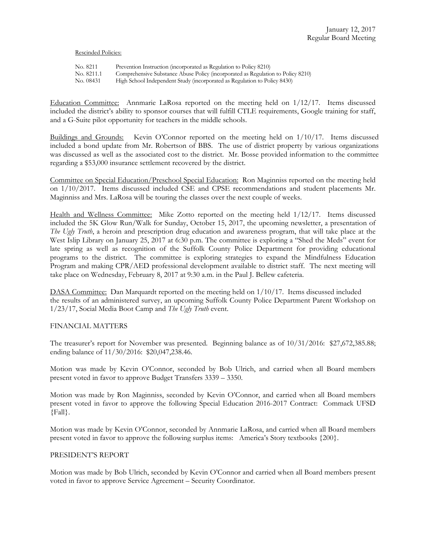#### Rescinded Policies:

| No. 8211   | Prevention Instruction (incorporated as Regulation to Policy 8210)               |
|------------|----------------------------------------------------------------------------------|
| No. 8211.1 | Comprehensive Substance Abuse Policy (incorporated as Regulation to Policy 8210) |
| No. 08431  | High School Independent Study (incorporated as Regulation to Policy 8430)        |

Education Committee: Annmarie LaRosa reported on the meeting held on 1/12/17. Items discussed included the district's ability to sponsor courses that will fulfill CTLE requirements, Google training for staff, and a G-Suite pilot opportunity for teachers in the middle schools.

Buildings and Grounds: Kevin O'Connor reported on the meeting held on 1/10/17. Items discussed included a bond update from Mr. Robertson of BBS. The use of district property by various organizations was discussed as well as the associated cost to the district. Mr. Bosse provided information to the committee regarding a \$53,000 insurance settlement recovered by the district.

Committee on Special Education/Preschool Special Education: Ron Maginniss reported on the meeting held on 1/10/2017. Items discussed included CSE and CPSE recommendations and student placements Mr. Maginniss and Mrs. LaRosa will be touring the classes over the next couple of weeks.

Health and Wellness Committee: Mike Zotto reported on the meeting held 1/12/17. Items discussed included the 5K Glow Run/Walk for Sunday, October 15, 2017, the upcoming newsletter, a presentation of *The Ugly Truth*, a heroin and prescription drug education and awareness program, that will take place at the West Islip Library on January 25, 2017 at 6:30 p.m. The committee is exploring a "Shed the Meds" event for late spring as well as recognition of the Suffolk County Police Department for providing educational programs to the district. The committee is exploring strategies to expand the Mindfulness Education Program and making CPR/AED professional development available to district staff. The next meeting will take place on Wednesday, February 8, 2017 at 9:30 a.m. in the Paul J. Bellew cafeteria.

DASA Committee: Dan Marquardt reported on the meeting held on 1/10/17. Items discussed included the results of an administered survey, an upcoming Suffolk County Police Department Parent Workshop on 1/23/17, Social Media Boot Camp and *The Ugly Truth* event.

## FINANCIAL MATTERS

The treasurer's report for November was presented. Beginning balance as of 10/31/2016: \$27,672,385.88; ending balance of 11/30/2016: \$20,047,238.46.

Motion was made by Kevin O'Connor, seconded by Bob Ulrich, and carried when all Board members present voted in favor to approve Budget Transfers 3339 – 3350.

Motion was made by Ron Maginniss, seconded by Kevin O'Connor, and carried when all Board members present voted in favor to approve the following Special Education 2016-2017 Contract: Commack UFSD {Fall}.

Motion was made by Kevin O'Connor, seconded by Annmarie LaRosa, and carried when all Board members present voted in favor to approve the following surplus items: America's Story textbooks {200}.

## PRESIDENT'S REPORT

Motion was made by Bob Ulrich, seconded by Kevin O'Connor and carried when all Board members present voted in favor to approve Service Agreement – Security Coordinator.